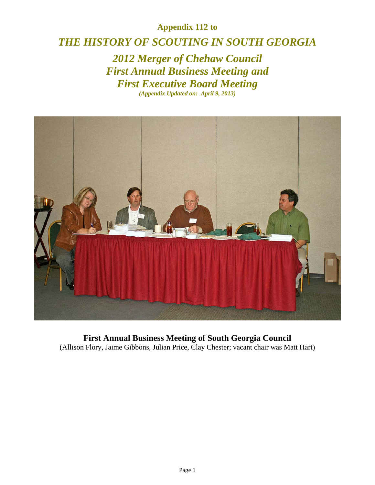## **Appendix 112 to**

## *THE HISTORY OF SCOUTING IN SOUTH GEORGIA*

*2012 Merger of Chehaw Council First Annual Business Meeting and First Executive Board Meeting (Appendix Updated on: April 9, 2013)* 



**First Annual Business Meeting of South Georgia Council**  (Allison Flory, Jaime Gibbons, Julian Price, Clay Chester; vacant chair was Matt Hart)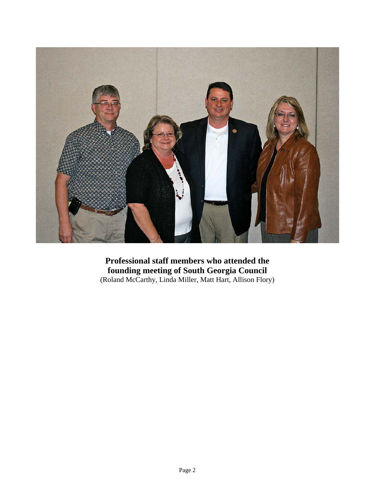

**Professional staff members who attended the founding meeting of South Georgia Council**  (Roland McCarthy, Linda Miller, Matt Hart, Allison Flory)